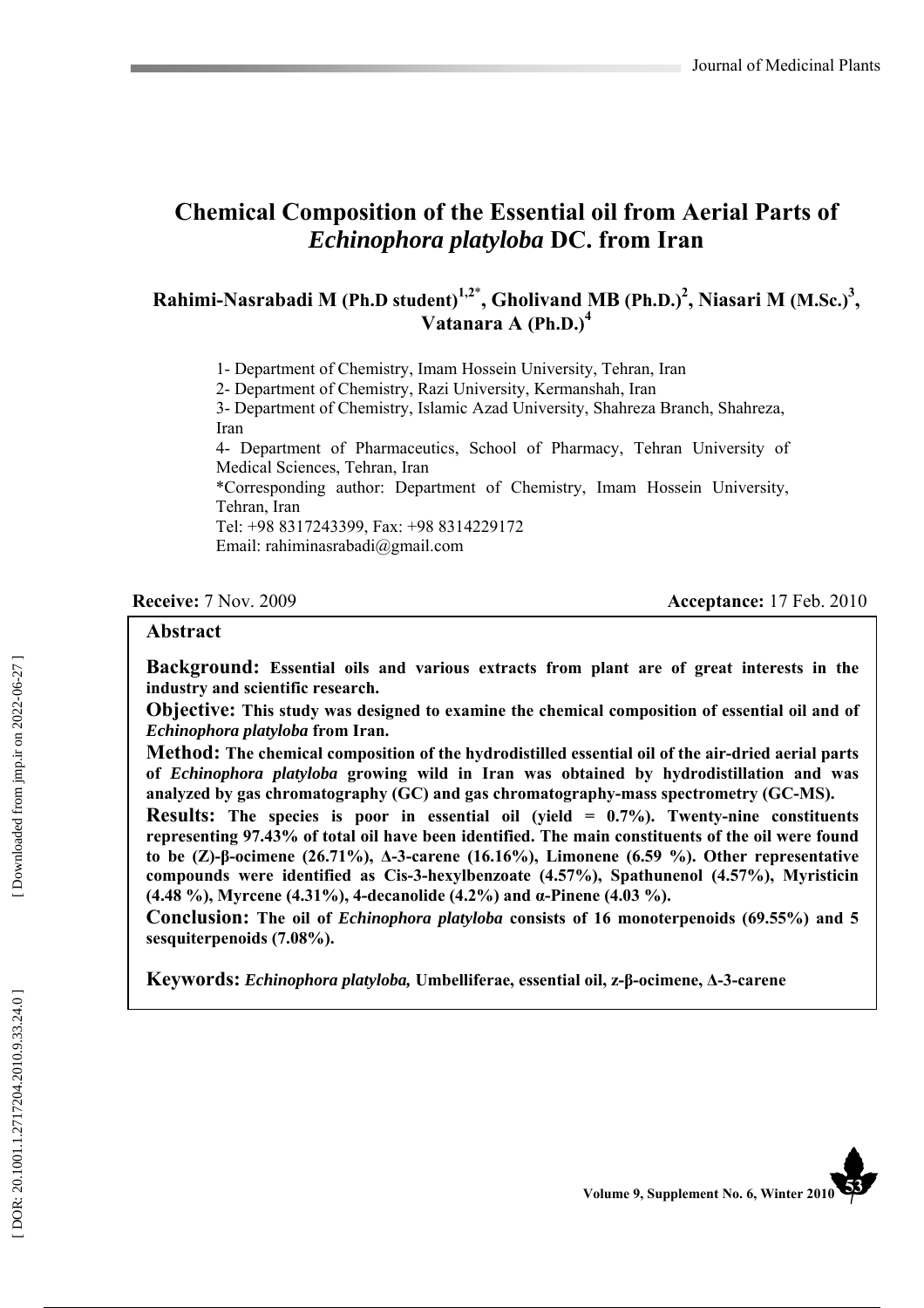# **Chemical Composition of the Essential oil from Aerial Parts of**  *Echinophora platyloba* **DC. from Iran**

## **Rahimi-Nasrabadi M (Ph.D student)1,2** \* **, Gholivand MB (Ph.D.) 2 , Niasari M (M.Sc.) 3 , Vatanara A (Ph.D.) 4**

1- Department of Chemistry, Imam Hossein University, Tehran, Iran

2- Department of Chemistry, Razi University, Kermanshah, Iran

3- Department of Chemistry, Islamic Azad University, Shahreza Branch, Shahreza, Iran

4- Department of Pharmaceutics, School of Pharmacy, Tehran University of Medical Sciences, Tehran, Iran

\*Corresponding author: Department of Chemistry, Imam Hossein University, Tehran, Iran

Tel: +98 8317243399, Fax: +98 8314229172

Email: rahiminasrabadi@gmail.com

#### **Receive:** 7 Nov. 2009 **Acceptance: 17 Feb. 2010**

#### **Abstract**

**Background: Essential oils and various extracts from plant are of great interests in the industry and scientific research.**

**Objective: This study was designed to examine the chemical composition of essential oil and of**  *Echinophora platyloba* **from Iran.** 

**Method: The chemical composition of the hydrodistilled essential oil of the air-dried aerial parts of** *Echinophora platyloba* **growing wild in Iran was obtained by hydrodistillation and was analyzed by gas chromatography (GC) and gas chromatography-mass spectrometry (GC-MS).**

**Results: The species is poor in essential oil (yield = 0.7%). Twenty-nine constituents representing 97.43% of total oil have been identified. The main constituents of the oil were found to be (Z)- β-ocimene (26.71%), ∆-3-carene (16.16%), Limonene (6.59 %). Other representative compounds were identified as Cis-3-hexylbenzoate (4.57%), Spathunenol (4.57%), Myristicin (4.48 %), Myrcene (4.31%), 4-decanolide (4.2%) and α-Pinene (4.03 %).** 

**Conclusion: The oil of** *Echinophora platyloba* **consists of 16 monoterpenoids (69.55%) and 5 sesquiterpenoids (7.08%).**

**Keywords:** *Echinophora platyloba,* **Umbelliferae, essential oil, z-β-ocimene, ∆-3-carene** 

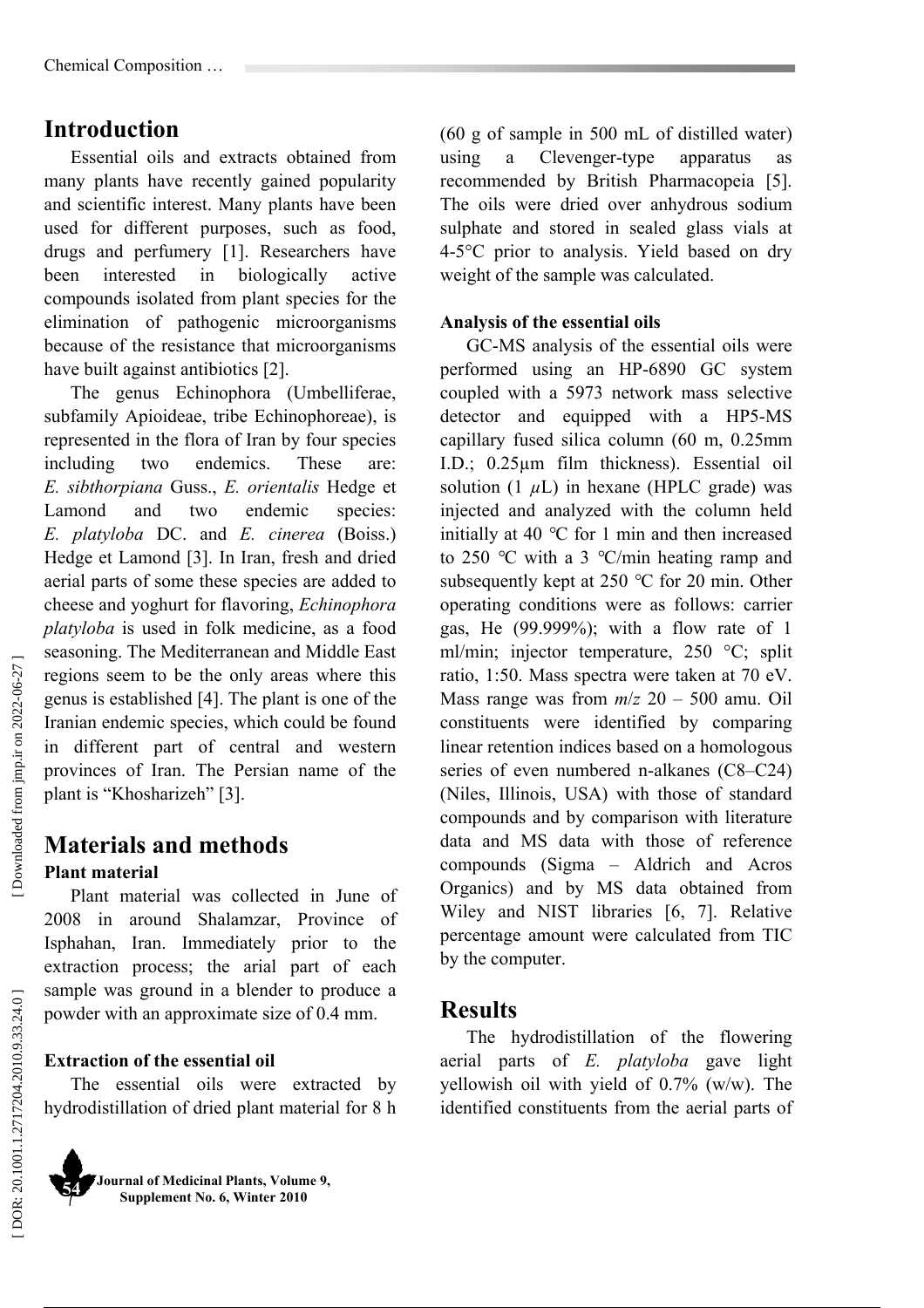# **Introduction**

Essential oils and extracts obtained from many plants have recently gained popularity and scientific interest. Many plants have been used for different purposes, such as food, drugs and perfumery [1]. Researchers have been interested in biologically active compounds isolated from plant species for the elimination of pathogenic microorganisms because of the resistance that microorganisms have built against antibiotics [2].

The genus Echinophora (Umbelliferae, subfamily Apioideae, tribe Echinophoreae), is represented in the flora of Iran by four species including two endemics. These are: *E. sibthorpiana* Guss., *E. orientalis* Hedge et Lamond and two endemic species: *E. platyloba* DC. and *E. cinerea* (Boiss.) Hedge et Lamond [3]. In Iran, fresh and dried aerial parts of some these species are added to cheese and yoghurt for flavoring, *Echinophora platyloba* is used in folk medicine, as a food seasoning. The Mediterranean and Middle East regions seem to be the only areas where this genus is established [4]. The plant is one of the Iranian endemic species, which could be found in different part of central and western provinces of Iran. The Persian name of the plant is "Khosharizeh" [3].

## **Materials and methods Plant material**

Plant material was collected in June of 2008 in around Shalamzar, Province of Isphahan, Iran. Immediately prior to the extraction process; the arial part of each sample was ground in a blender to produce a powder with an approximate size of 0.4 mm.

### **Extraction of the essential oil**

The essential oils were extracted by hydrodistillation of dried plant material for 8 h

**Journal of Medicinal Plants, Volume 9, Supplement No. 6, Winter 2010 54** 

(60 g of sample in 500 mL of distilled water) using a Clevenger-type apparatus as recommended by British Pharmacopeia [5]. The oils were dried over anhydrous sodium sulphate and stored in sealed glass vials at 4-5°C prior to analysis. Yield based on dry weight of the sample was calculated.

## **Analysis of the essential oils**

GC-MS analysis of the essential oils were performed using an HP-6890 GC system coupled with a 5973 network mass selective detector and equipped with a HP5-MS capillary fused silica column (60 m, 0.25mm I.D.; 0.25µm film thickness). Essential oil solution  $(1 \mu L)$  in hexane (HPLC grade) was injected and analyzed with the column held initially at 40 *°*C for 1 min and then increased to 250 *°*C with a 3 *°*C/min heating ramp and subsequently kept at 250 *°*C for 20 min. Other operating conditions were as follows: carrier gas, He (99.999%); with a flow rate of 1 ml/min; injector temperature, 250 °C; split ratio, 1:50. Mass spectra were taken at 70 eV. Mass range was from  $m/z$  20 – 500 amu. Oil constituents were identified by comparing linear retention indices based on a homologous series of even numbered n-alkanes (C8–C24) (Niles, Illinois, USA) with those of standard compounds and by comparison with literature data and MS data with those of reference compounds (Sigma – Aldrich and Acros Organics) and by MS data obtained from Wiley and NIST libraries [6, 7]. Relative percentage amount were calculated from TIC by the computer.

## **Results**

The hydrodistillation of the flowering aerial parts of *E. platyloba* gave light yellowish oil with yield of 0.7% (w/w). The identified constituents from the aerial parts of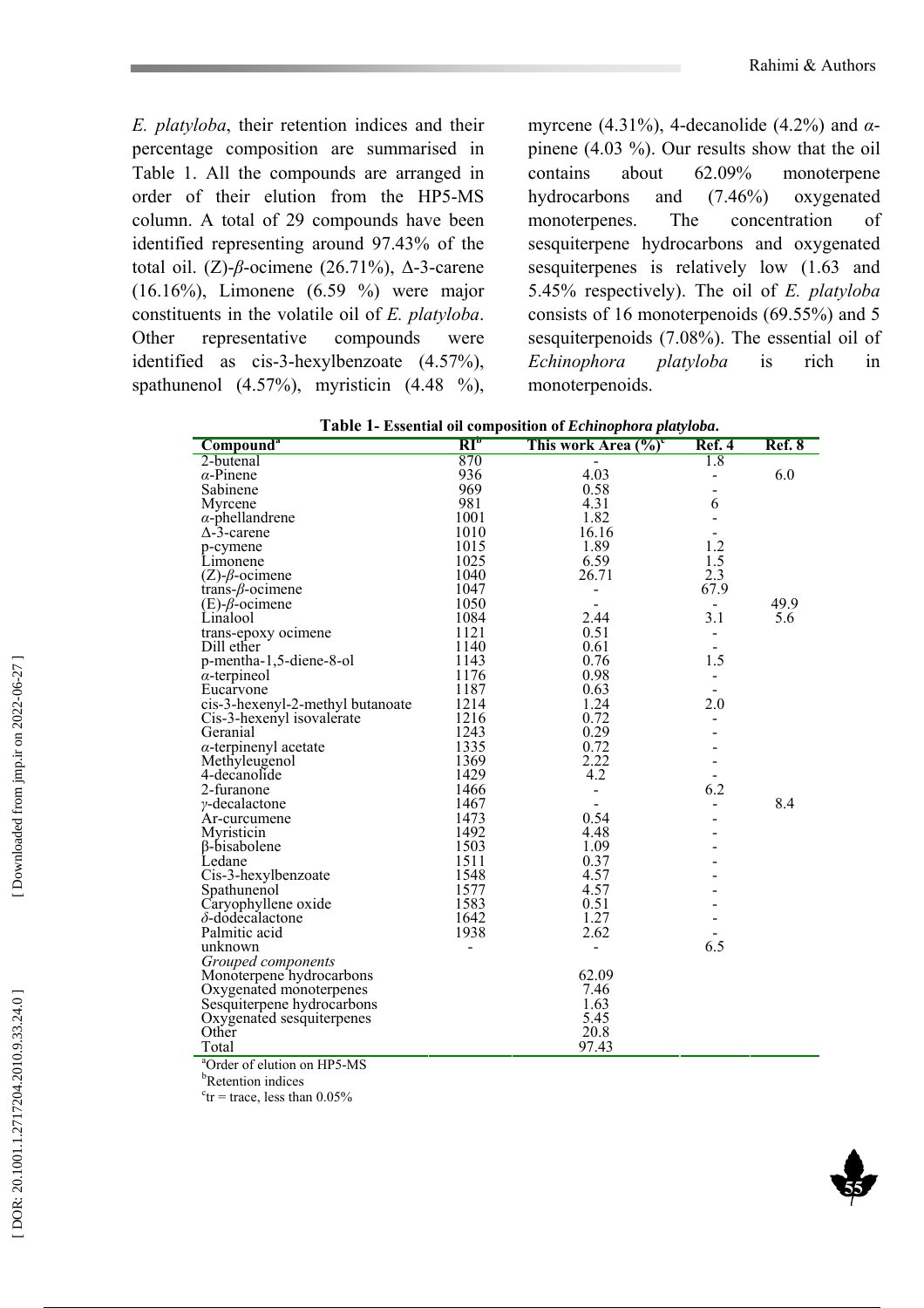**55** 

*E. platyloba*, their retention indices and their percentage composition are summarised in Table 1. All the compounds are arranged in order of their elution from the HP5-MS column. A total of 29 compounds have been identified representing around 97.43% of the total oil. (Z)-β-ocimene (26.71%),  $\Delta$ -3-carene (16.16%), Limonene (6.59 %) were major constituents in the volatile oil of *E. platyloba*. Other representative compounds were identified as cis-3-hexylbenzoate (4.57%), spathunenol  $(4.57\%)$ , myristicin  $(4.48\%)$ ,

myrcene (4.31%), 4-decanolide (4.2%) and *α* pinene (4.03 %). Our results show that the oil contains about 62.09% monoterpene hydrocarbons and (7.46%) oxygenated monoterpenes. The concentration of sesquiterpene hydrocarbons and oxygenated sesquiterpenes is relatively low (1.63 and 5.45% respectively). The oil of *E. platyloba* consists of 16 monoterpenoids (69.55%) and 5 sesquiterpenoids (7.08%). The essential oil of *Echinophora platyloba* is rich in monoterpenoids.

| Compound <sup>a</sup>            | $\overline{\text{RI}^{\text{D}}}$ | This work Area (%) <sup>c</sup> | Ref. 4                   | Ref. 8 |
|----------------------------------|-----------------------------------|---------------------------------|--------------------------|--------|
| 2-butenal                        | 870                               |                                 | 1.8                      |        |
| $\alpha$ -Pinene                 | 936                               | 4.03                            |                          | 6.0    |
| Sabinene                         | 969                               | 0.58                            |                          |        |
| Myrcene                          | 981                               | 4.31                            | 6                        |        |
| $\alpha$ -phellandrene           | 1001                              | 1.82                            |                          |        |
| $\Delta$ -3-carene               | 1010                              | 16.16                           |                          |        |
| p-cymene                         | 1015                              | 1.89                            | 1.2                      |        |
| Limonene                         | 1025                              | 6.59                            | 1.5                      |        |
| $(Z)$ - $\beta$ -ocimene         | 1040                              | 26.71                           | 2.3                      |        |
| trans- $\beta$ -ocimene          | 1047                              | $\blacksquare$                  | 67.9                     |        |
| $(E)$ - $\beta$ -ocimene         | 1050                              |                                 | $\overline{\phantom{a}}$ | 49.9   |
| Linalool                         | 1084                              | 2.44                            | 3.1                      | 5.6    |
| trans-epoxy ocimene              | 1121                              | 0.51                            |                          |        |
| Dill ether                       | 1140                              | 0.61                            |                          |        |
| p-mentha-1,5-diene-8-ol          | 1143                              | 0.76                            | 1.5                      |        |
| $\alpha$ -terpineol              | 1176                              | 0.98                            | $\blacksquare$           |        |
| Eucarvone                        | 1187                              | 0.63                            |                          |        |
| cis-3-hexenyl-2-methyl butanoate | 1214                              | 1.24                            | 2.0                      |        |
| Cis-3-hexenyl isovalerate        | 1216                              | 0.72                            |                          |        |
| Geranial                         | 1243                              | 0.29                            |                          |        |
| $\alpha$ -terpinenyl acetate     | 1335                              | 0.72                            |                          |        |
| Methyleugenol                    | 1369                              | 2.22                            |                          |        |
| 4-decanolide                     | 1429                              | 4.2                             |                          |        |
| 2-furanone                       | 1466                              |                                 | 6.2                      |        |
| $\gamma$ -decalactone            | 1467                              | $\blacksquare$                  |                          | 8.4    |
| Ar-curcumene                     | 1473                              | 0.54                            |                          |        |
| Myristicin                       | 1492                              | 4.48                            |                          |        |
| B-bisabolene                     | 1503                              | 1.09                            |                          |        |
| Ledane                           | 1511                              | 0.37                            |                          |        |
| Cis-3-hexylbenzoate              | 1548                              | 4.57                            |                          |        |
| Spathunenol                      | 1577                              | 4.57                            |                          |        |
| Caryophyllene oxide              | 1583                              | 0.51                            |                          |        |
| $\delta$ -dodecalactone          | 1642                              | 1.27                            |                          |        |
| Palmitic acid                    | 1938                              | 2.62                            |                          |        |
| unknown                          | $\overline{a}$                    | $\overline{a}$                  | 6.5                      |        |
| Grouped components               |                                   |                                 |                          |        |
| Monoterpene hydrocarbons         |                                   | 62.09                           |                          |        |
| Oxygenated monoterpenes          |                                   | 7.46                            |                          |        |
| Sesquiterpene hydrocarbons       |                                   | 1.63                            |                          |        |
| Oxygenated sesquiterpenes        |                                   | 5.45                            |                          |        |
| Other                            |                                   | 20.8                            |                          |        |
| Total                            |                                   | 97.43                           |                          |        |

| Table 1- Essential oil composition of Echinophora platyloba. |  |  |
|--------------------------------------------------------------|--|--|
|--------------------------------------------------------------|--|--|

a Order of elution on HP5-MS

<sup>b</sup>Retention indices

 $c<sub>tr</sub>$  = trace, less than 0.05%